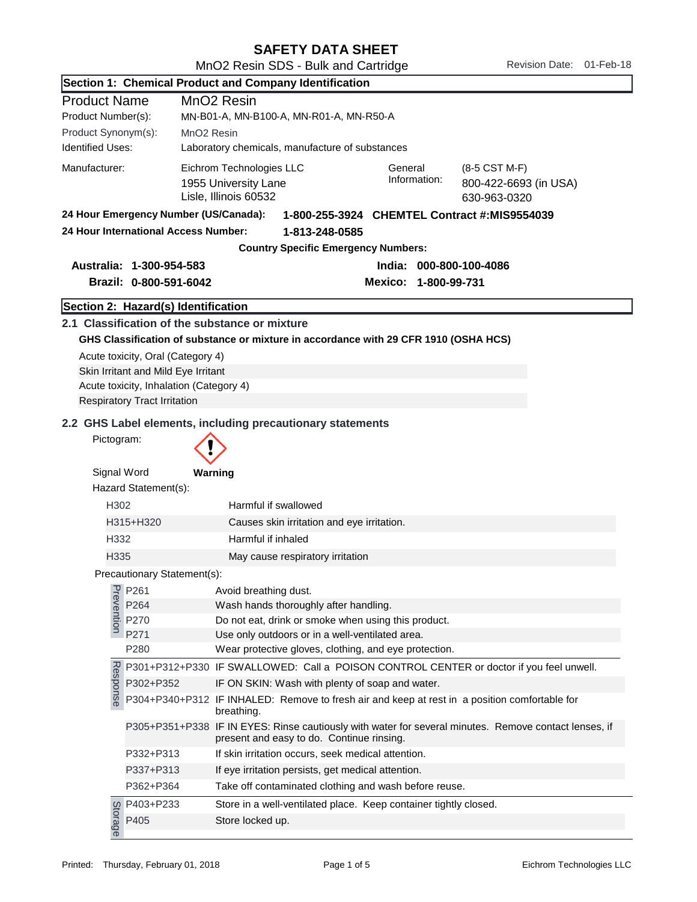| <b>SAFETY DATA SHEET</b> |  |
|--------------------------|--|
|--------------------------|--|

| Section 1: Chemical Product and Company Identification |                                                                                |                                                                                                                                                                |  |
|--------------------------------------------------------|--------------------------------------------------------------------------------|----------------------------------------------------------------------------------------------------------------------------------------------------------------|--|
| <b>Product Name</b>                                    |                                                                                | MnO <sub>2</sub> Resin                                                                                                                                         |  |
| Product Number(s):                                     |                                                                                | MN-B01-A, MN-B100-A, MN-R01-A, MN-R50-A                                                                                                                        |  |
| Product Synonym(s):                                    |                                                                                | MnO <sub>2</sub> Resin                                                                                                                                         |  |
| <b>Identified Uses:</b>                                |                                                                                | Laboratory chemicals, manufacture of substances                                                                                                                |  |
| Manufacturer:                                          |                                                                                | Eichrom Technologies LLC<br>General<br>(8-5 CST M-F)<br>Information:<br>1955 University Lane<br>800-422-6693 (in USA)<br>Lisle, Illinois 60532<br>630-963-0320 |  |
|                                                        | 24 Hour Emergency Number (US/Canada):                                          | 1-800-255-3924 CHEMTEL Contract #:MIS9554039                                                                                                                   |  |
|                                                        | 24 Hour International Access Number:                                           | 1-813-248-0585                                                                                                                                                 |  |
|                                                        |                                                                                | <b>Country Specific Emergency Numbers:</b>                                                                                                                     |  |
|                                                        | Australia: 1-300-954-583                                                       | India: 000-800-100-4086                                                                                                                                        |  |
|                                                        | Brazil: 0-800-591-6042                                                         | Mexico: 1-800-99-731                                                                                                                                           |  |
|                                                        |                                                                                |                                                                                                                                                                |  |
|                                                        | Section 2: Hazard(s) Identification                                            |                                                                                                                                                                |  |
|                                                        |                                                                                | 2.1 Classification of the substance or mixture                                                                                                                 |  |
|                                                        |                                                                                | GHS Classification of substance or mixture in accordance with 29 CFR 1910 (OSHA HCS)                                                                           |  |
|                                                        | Acute toxicity, Oral (Category 4)                                              |                                                                                                                                                                |  |
|                                                        | Skin Irritant and Mild Eye Irritant<br>Acute toxicity, Inhalation (Category 4) |                                                                                                                                                                |  |
|                                                        | <b>Respiratory Tract Irritation</b>                                            |                                                                                                                                                                |  |
|                                                        |                                                                                |                                                                                                                                                                |  |
|                                                        |                                                                                | 2.2 GHS Label elements, including precautionary statements                                                                                                     |  |
| Pictogram:                                             |                                                                                |                                                                                                                                                                |  |
| Signal Word                                            |                                                                                | Warning                                                                                                                                                        |  |
|                                                        | Hazard Statement(s):                                                           |                                                                                                                                                                |  |
| H302                                                   |                                                                                | Harmful if swallowed                                                                                                                                           |  |
|                                                        | H315+H320                                                                      | Causes skin irritation and eye irritation.                                                                                                                     |  |
| H332                                                   |                                                                                | Harmful if inhaled                                                                                                                                             |  |
| H335                                                   |                                                                                | May cause respiratory irritation                                                                                                                               |  |
|                                                        | Precautionary Statement(s):                                                    |                                                                                                                                                                |  |
|                                                        | P261                                                                           | Avoid breathing dust.                                                                                                                                          |  |
| Prevention                                             | P264                                                                           | Wash hands thoroughly after handling.                                                                                                                          |  |
|                                                        | P270                                                                           | Do not eat, drink or smoke when using this product.                                                                                                            |  |
|                                                        | P271                                                                           | Use only outdoors or in a well-ventilated area.                                                                                                                |  |
|                                                        | P280                                                                           | Wear protective gloves, clothing, and eye protection.                                                                                                          |  |
|                                                        |                                                                                | P301+P312+P330 IF SWALLOWED: Call a POISON CONTROL CENTER or doctor if you feel unwell.                                                                        |  |
|                                                        | P302+P352                                                                      | IF ON SKIN: Wash with plenty of soap and water.                                                                                                                |  |
| Response                                               |                                                                                | P304+P340+P312 IF INHALED: Remove to fresh air and keep at rest in a position comfortable for<br>breathing.                                                    |  |
|                                                        |                                                                                | P305+P351+P338 IF IN EYES: Rinse cautiously with water for several minutes. Remove contact lenses, if<br>present and easy to do. Continue rinsing.             |  |
|                                                        | P332+P313                                                                      | If skin irritation occurs, seek medical attention.                                                                                                             |  |
|                                                        | P337+P313                                                                      | If eye irritation persists, get medical attention.                                                                                                             |  |
|                                                        | P362+P364                                                                      | Take off contaminated clothing and wash before reuse.                                                                                                          |  |
|                                                        | P403+P233                                                                      | Store in a well-ventilated place. Keep container tightly closed.                                                                                               |  |
| Storage                                                | P405                                                                           | Store locked up.                                                                                                                                               |  |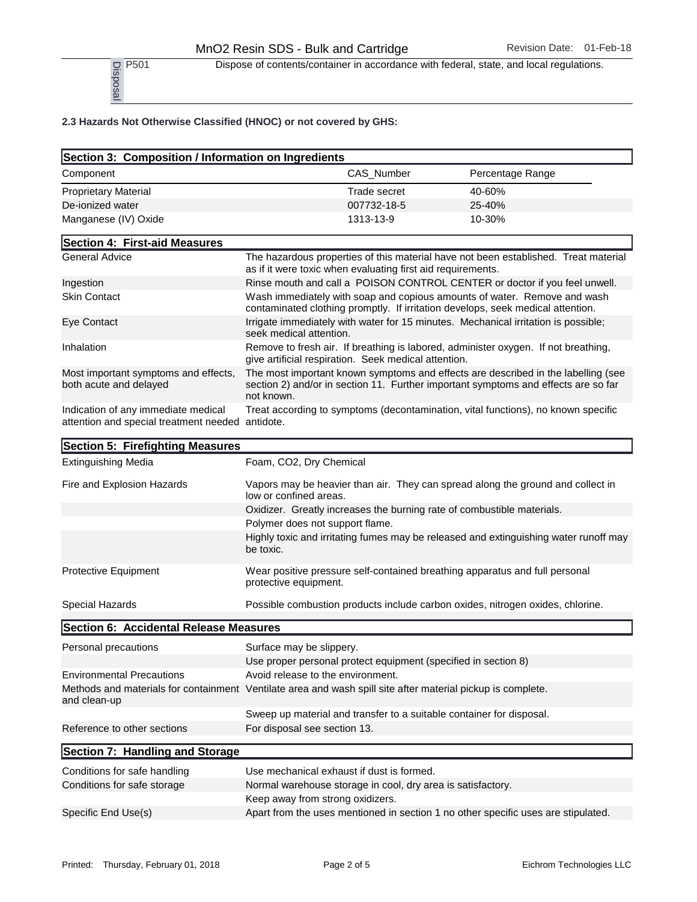P<sub>501</sub> Dispose of contents/container in accordance with federal, state, and local regulations.

| $\frac{1}{2}$ P501<br>Book<br>$\frac{1}{2}$                                                                                 | Dispose of contents/container in accordance with federal, state, and local regulations.                                                                                               |            |                  |  |
|-----------------------------------------------------------------------------------------------------------------------------|---------------------------------------------------------------------------------------------------------------------------------------------------------------------------------------|------------|------------------|--|
| 2.3 Hazards Not Otherwise Classified (HNOC) or not covered by GHS:                                                          |                                                                                                                                                                                       |            |                  |  |
| Section 3: Composition / Information on Ingredients                                                                         |                                                                                                                                                                                       |            |                  |  |
| Component                                                                                                                   |                                                                                                                                                                                       | CAS_Number | Percentage Range |  |
| <b>Proprietary Material</b>                                                                                                 | <b>Trade secret</b>                                                                                                                                                                   |            | 40-60%           |  |
| De-ionized water                                                                                                            | 007732-18-5                                                                                                                                                                           |            | 25-40%           |  |
| Manganese (IV) Oxide                                                                                                        | 1313-13-9                                                                                                                                                                             |            | 10-30%           |  |
| Section 4: First-aid Measures                                                                                               |                                                                                                                                                                                       |            |                  |  |
| <b>General Advice</b>                                                                                                       | The hazardous properties of this material have not been established. Treat material<br>as if it were toxic when evaluating first aid requirements.                                    |            |                  |  |
| Ingestion                                                                                                                   | Rinse mouth and call a POISON CONTROL CENTER or doctor if you feel unwell.                                                                                                            |            |                  |  |
| <b>Skin Contact</b>                                                                                                         | Wash immediately with soap and copious amounts of water. Remove and wash<br>contaminated clothing promptly. If irritation develops, seek medical attention.                           |            |                  |  |
| Eye Contact                                                                                                                 | Irrigate immediately with water for 15 minutes. Mechanical irritation is possible;<br>seek medical attention.                                                                         |            |                  |  |
| Inhalation                                                                                                                  | Remove to fresh air. If breathing is labored, administer oxygen. If not breathing,<br>give artificial respiration. Seek medical attention.                                            |            |                  |  |
| Most important symptoms and effects,<br>both acute and delayed                                                              | The most important known symptoms and effects are described in the labelling (see<br>section 2) and/or in section 11. Further important symptoms and effects are so far<br>not known. |            |                  |  |
| Indication of any immediate medical<br>attention and special treatment needed antidote.                                     | Treat according to symptoms (decontamination, vital functions), no known specific                                                                                                     |            |                  |  |
| Section 5: Firefighting Measures                                                                                            |                                                                                                                                                                                       |            |                  |  |
| <b>Extinguishing Media</b>                                                                                                  | Foam, CO2, Dry Chemical                                                                                                                                                               |            |                  |  |
| Fire and Explosion Hazards                                                                                                  | Vapors may be heavier than air. They can spread along the ground and collect in<br>low or confined areas.                                                                             |            |                  |  |
|                                                                                                                             | Oxidizer. Greatly increases the burning rate of combustible materials.                                                                                                                |            |                  |  |
|                                                                                                                             | Polymer does not support flame.                                                                                                                                                       |            |                  |  |
|                                                                                                                             | Highly toxic and irritating fumes may be released and extinguishing water runoff may<br>be toxic.                                                                                     |            |                  |  |
| Protective Equipment                                                                                                        | Wear positive pressure self-contained breathing apparatus and full personal<br>protective equipment.                                                                                  |            |                  |  |
| Special Hazards                                                                                                             | Possible combustion products include carbon oxides, nitrogen oxides, chlorine.                                                                                                        |            |                  |  |
| Section 6: Accidental Release Measures                                                                                      |                                                                                                                                                                                       |            |                  |  |
| Personal precautions                                                                                                        | Surface may be slippery.<br>Use proper personal protect equipment (specified in section 8)                                                                                            |            |                  |  |
| <b>Environmental Precautions</b>                                                                                            | Avoid release to the environment.                                                                                                                                                     |            |                  |  |
| Methods and materials for containment Ventilate area and wash spill site after material pickup is complete.<br>and clean-up |                                                                                                                                                                                       |            |                  |  |
| Reference to other sections                                                                                                 | Sweep up material and transfer to a suitable container for disposal.<br>For disposal see section 13.                                                                                  |            |                  |  |
| Section 7: Handling and Storage                                                                                             |                                                                                                                                                                                       |            |                  |  |
| Conditions for safe handling                                                                                                | Use mechanical exhaust if dust is formed.                                                                                                                                             |            |                  |  |
| Conditions for safe storage                                                                                                 | Normal warehouse storage in cool, dry area is satisfactory.                                                                                                                           |            |                  |  |
| Specific End Use(s)                                                                                                         | Keep away from strong oxidizers.<br>Apart from the uses mentioned in section 1 no other specific uses are stipulated.                                                                 |            |                  |  |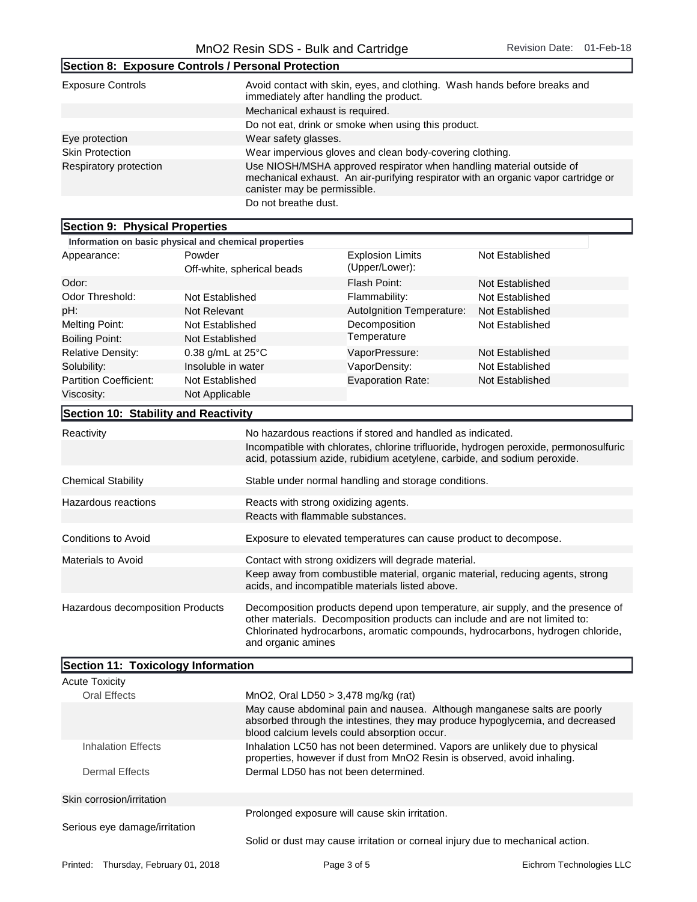٦

|                                                    | ັ                                                                                                                                                                                          |
|----------------------------------------------------|--------------------------------------------------------------------------------------------------------------------------------------------------------------------------------------------|
| Section 8: Exposure Controls / Personal Protection |                                                                                                                                                                                            |
| <b>Exposure Controls</b>                           | Avoid contact with skin, eyes, and clothing. Wash hands before breaks and<br>immediately after handling the product.                                                                       |
|                                                    | Mechanical exhaust is required.                                                                                                                                                            |
|                                                    | Do not eat, drink or smoke when using this product.                                                                                                                                        |
| Eye protection                                     | Wear safety glasses.                                                                                                                                                                       |
| <b>Skin Protection</b>                             | Wear impervious gloves and clean body-covering clothing.                                                                                                                                   |
| Respiratory protection                             | Use NIOSH/MSHA approved respirator when handling material outside of<br>mechanical exhaust. An air-purifying respirator with an organic vapor cartridge or<br>canister may be permissible. |
|                                                    | Do not breathe dust.                                                                                                                                                                       |

## Section 9: Physical Properties

| Section 3. Thysical Libreries                                             |                                                       |                                                                                                                                                                   |                 |
|---------------------------------------------------------------------------|-------------------------------------------------------|-------------------------------------------------------------------------------------------------------------------------------------------------------------------|-----------------|
|                                                                           | Information on basic physical and chemical properties |                                                                                                                                                                   |                 |
| Appearance:                                                               | Powder<br>Off-white, spherical beads                  | <b>Explosion Limits</b><br>(Upper/Lower):                                                                                                                         | Not Established |
| Odor:                                                                     |                                                       | Flash Point:                                                                                                                                                      | Not Established |
| Odor Threshold:                                                           | Not Established                                       | Flammability:                                                                                                                                                     | Not Established |
| pH:                                                                       | Not Relevant                                          | Autolgnition Temperature:                                                                                                                                         | Not Established |
| <b>Melting Point:</b>                                                     | Not Established                                       | Decomposition                                                                                                                                                     | Not Established |
| <b>Boiling Point:</b>                                                     | Not Established                                       | Temperature                                                                                                                                                       |                 |
| <b>Relative Density:</b>                                                  | 0.38 g/mL at $25^{\circ}$ C                           | VaporPressure:                                                                                                                                                    | Not Established |
| Solubility:                                                               | Insoluble in water                                    | VaporDensity:                                                                                                                                                     | Not Established |
| Partition Coefficient:                                                    | Not Established                                       | <b>Evaporation Rate:</b>                                                                                                                                          | Not Established |
| Viscosity:                                                                | Not Applicable                                        |                                                                                                                                                                   |                 |
| Section 10: Stability and Reactivity                                      |                                                       |                                                                                                                                                                   |                 |
| Reactivity                                                                |                                                       | No hazardous reactions if stored and handled as indicated.                                                                                                        |                 |
|                                                                           |                                                       | Incompatible with chlorates, chlorine trifluoride, hydrogen peroxide, permonosulfuric<br>acid, potassium azide, rubidium acetylene, carbide, and sodium peroxide. |                 |
| <b>Chemical Stability</b>                                                 |                                                       | Stable under normal handling and storage conditions.                                                                                                              |                 |
| Hazardous reactions                                                       | Reacts with strong oxidizing agents.                  |                                                                                                                                                                   |                 |
|                                                                           | Reacts with flammable substances.                     |                                                                                                                                                                   |                 |
| Conditions to Avoid                                                       |                                                       | Exposure to elevated temperatures can cause product to decompose.                                                                                                 |                 |
| Contact with strong oxidizers will degrade material<br>Materials to Avoid |                                                       |                                                                                                                                                                   |                 |

| ויומנטומוס נט היטוע              | <b>CONTROL WILLI SUCHLY UXIGIZERS WILL GEGRAGE INCLUSION.</b>                                                                                                                                                                                    |
|----------------------------------|--------------------------------------------------------------------------------------------------------------------------------------------------------------------------------------------------------------------------------------------------|
|                                  | Keep away from combustible material, organic material, reducing agents, strong<br>acids, and incompatible materials listed above.                                                                                                                |
| Hazardous decomposition Products | Decomposition products depend upon temperature, air supply, and the presence of<br>other materials. Decomposition products can include and are not limited to:<br>Chlorinated hydrocarbons, aromatic compounds, hydrocarbons, hydrogen chloride, |

and organic amines

| Section 11: Toxicology Information      |                                                                                                                                                                                                           |                          |
|-----------------------------------------|-----------------------------------------------------------------------------------------------------------------------------------------------------------------------------------------------------------|--------------------------|
| <b>Acute Toxicity</b>                   |                                                                                                                                                                                                           |                          |
| Oral Effects                            | MnO2, Oral LD50 $>$ 3,478 mg/kg (rat)                                                                                                                                                                     |                          |
|                                         | May cause abdominal pain and nausea. Although manganese salts are poorly<br>absorbed through the intestines, they may produce hypoglycemia, and decreased<br>blood calcium levels could absorption occur. |                          |
| Inhalation Effects                      | Inhalation LC50 has not been determined. Vapors are unlikely due to physical<br>properties, however if dust from MnO <sub>2</sub> Resin is observed, avoid inhaling.                                      |                          |
| Dermal Effects                          | Dermal LD50 has not been determined.                                                                                                                                                                      |                          |
| Skin corrosion/irritation               |                                                                                                                                                                                                           |                          |
| Serious eye damage/irritation           | Prolonged exposure will cause skin irritation.                                                                                                                                                            |                          |
|                                         | Solid or dust may cause irritation or corneal injury due to mechanical action.                                                                                                                            |                          |
| Thursday, February 01, 2018<br>Printed: | Page 3 of 5                                                                                                                                                                                               | Eichrom Technologies LLC |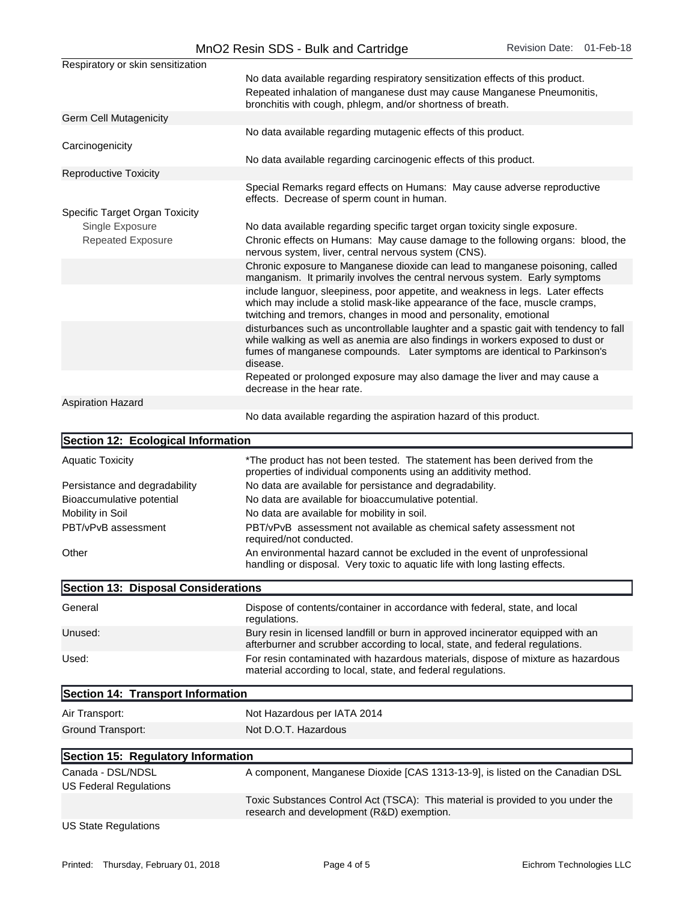|                                                    | MnO2 Resin SDS - Bulk and Cartridge<br>Revision Date: 01-Feb-18                                                                                                                                                                     |  |
|----------------------------------------------------|-------------------------------------------------------------------------------------------------------------------------------------------------------------------------------------------------------------------------------------|--|
| Respiratory or skin sensitization                  |                                                                                                                                                                                                                                     |  |
|                                                    | No data available regarding respiratory sensitization effects of this product.<br>Repeated inhalation of manganese dust may cause Manganese Pneumonitis,<br>bronchitis with cough, phlegm, and/or shortness of breath.              |  |
| <b>Germ Cell Mutagenicity</b>                      |                                                                                                                                                                                                                                     |  |
|                                                    | No data available regarding mutagenic effects of this product.                                                                                                                                                                      |  |
| Carcinogenicity                                    | No data available regarding carcinogenic effects of this product.                                                                                                                                                                   |  |
| <b>Reproductive Toxicity</b>                       |                                                                                                                                                                                                                                     |  |
|                                                    | Special Remarks regard effects on Humans: May cause adverse reproductive<br>effects. Decrease of sperm count in human.                                                                                                              |  |
| Specific Target Organ Toxicity<br>Single Exposure  | No data available regarding specific target organ toxicity single exposure.                                                                                                                                                         |  |
| <b>Repeated Exposure</b>                           | Chronic effects on Humans: May cause damage to the following organs: blood, the                                                                                                                                                     |  |
|                                                    | nervous system, liver, central nervous system (CNS).                                                                                                                                                                                |  |
|                                                    | Chronic exposure to Manganese dioxide can lead to manganese poisoning, called<br>manganism. It primarily involves the central nervous system. Early symptoms                                                                        |  |
|                                                    | include languor, sleepiness, poor appetite, and weakness in legs. Later effects<br>which may include a stolid mask-like appearance of the face, muscle cramps,<br>twitching and tremors, changes in mood and personality, emotional |  |
|                                                    | disturbances such as uncontrollable laughter and a spastic gait with tendency to fall                                                                                                                                               |  |
|                                                    | while walking as well as anemia are also findings in workers exposed to dust or<br>fumes of manganese compounds. Later symptoms are identical to Parkinson's<br>disease.                                                            |  |
|                                                    | Repeated or prolonged exposure may also damage the liver and may cause a<br>decrease in the hear rate.                                                                                                                              |  |
| <b>Aspiration Hazard</b>                           |                                                                                                                                                                                                                                     |  |
|                                                    | No data available regarding the aspiration hazard of this product.                                                                                                                                                                  |  |
|                                                    |                                                                                                                                                                                                                                     |  |
| Section 12: Ecological Information                 |                                                                                                                                                                                                                                     |  |
| <b>Aquatic Toxicity</b>                            | *The product has not been tested. The statement has been derived from the<br>properties of individual components using an additivity method.                                                                                        |  |
| Persistance and degradability                      | No data are available for persistance and degradability.                                                                                                                                                                            |  |
| Bioaccumulative potential                          | No data are available for bioaccumulative potential.                                                                                                                                                                                |  |
| Mobility in Soil<br>PBT/vPvB assessment            | No data are available for mobility in soil.<br>PBT/vPvB assessment not available as chemical safety assessment not                                                                                                                  |  |
|                                                    | required/not conducted.                                                                                                                                                                                                             |  |
| Other                                              | An environmental hazard cannot be excluded in the event of unprofessional<br>handling or disposal. Very toxic to aquatic life with long lasting effects.                                                                            |  |
| Section 13: Disposal Considerations                |                                                                                                                                                                                                                                     |  |
| General                                            | Dispose of contents/container in accordance with federal, state, and local<br>regulations.                                                                                                                                          |  |
| Unused:                                            | Bury resin in licensed landfill or burn in approved incinerator equipped with an<br>afterburner and scrubber according to local, state, and federal regulations.                                                                    |  |
| Used:                                              | For resin contaminated with hazardous materials, dispose of mixture as hazardous<br>material according to local, state, and federal regulations.                                                                                    |  |
| Section 14: Transport Information                  |                                                                                                                                                                                                                                     |  |
| Air Transport:                                     | Not Hazardous per IATA 2014                                                                                                                                                                                                         |  |
| Ground Transport:                                  | Not D.O.T. Hazardous                                                                                                                                                                                                                |  |
| Section 15: Regulatory Information                 |                                                                                                                                                                                                                                     |  |
| Canada - DSL/NDSL<br><b>US Federal Regulations</b> | A component, Manganese Dioxide [CAS 1313-13-9], is listed on the Canadian DSL                                                                                                                                                       |  |
|                                                    | Toxic Substances Control Act (TSCA): This material is provided to you under the<br>research and development (R&D) exemption.                                                                                                        |  |
| <b>US State Regulations</b>                        |                                                                                                                                                                                                                                     |  |